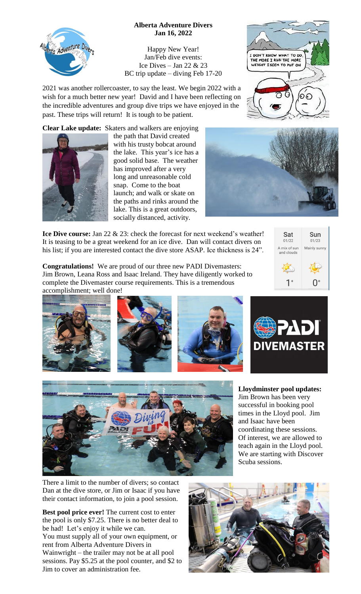## **Alberta Adventure Divers Jan 16, 2022**

Happy New Year! Jan/Feb dive events: Ice Dives – Jan 22  $& 23$ BC trip update – diving Feb 17-20

2021 was another rollercoaster, to say the least. We begin 2022 with a wish for a much better new year! David and I have been reflecting on the incredible adventures and group dive trips we have enjoyed in the past. These trips will return! It is tough to be patient.

**Clear Lake update:** Skaters and walkers are enjoying



ta Adventure Dive

the path that David created with his trusty bobcat around the lake. This year's ice has a good solid base. The weather has improved after a very long and unreasonable cold snap. Come to the boat launch; and walk or skate on the paths and rinks around the lake. This is a great outdoors, socially distanced, activity.





**Ice Dive course:** Jan 22 & 23: check the forecast for next weekend's weather! It is teasing to be a great weekend for an ice dive. Dan will contact divers on his list; if you are interested contact the dive store ASAP. Ice thickness is 24".

**Congratulations!** We are proud of our three new PADI Divemasters: Jim Brown, Leana Ross and Isaac Ireland. They have diligently worked to complete the Divemaster course requirements. This is a tremendous accomplishment; well done!





There a limit to the number of divers; so contact Dan at the dive store, or Jim or Isaac if you have their contact information, to join a pool session.

**Best pool price ever!** The current cost to enter the pool is only \$7.25. There is no better deal to be had! Let's enjoy it while we can. You must supply all of your own equipment, or rent from Alberta Adventure Divers in Wainwright – the trailer may not be at all pool sessions. Pay \$5.25 at the pool counter, and \$2 to Jim to cover an administration fee.







**Lloydminster pool updates:** Jim Brown has been very successful in booking pool times in the Lloyd pool. Jim

coordinating these sessions. Of interest, we are allowed to teach again in the Lloyd pool. We are starting with Discover

and Isaac have been



Scuba sessions.